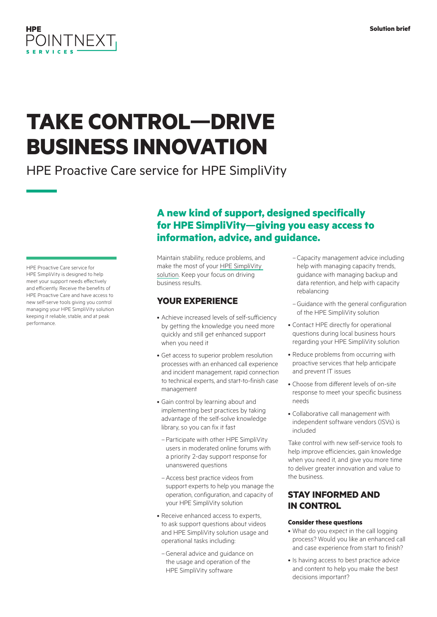## **HPE** POINTNEXT

# **TAKE CONTROL—DRIVE BUSINESS INNOVATION**

HPE Proactive Care service for HPE SimpliVity

HPE Proactive Care service for HPE SimpliVity is designed to help meet your support needs effectively and efficiently. Receive the benefits of HPE Proactive Care and have access to new self-serve tools giving you control managing your HPE SimpliVity solution keeping it reliable, stable, and at peak performance.

### **A new kind of support, designed specifically for HPE SimpliVity—giving you easy access to information, advice, and guidance.**

Maintain stability, reduce problems, and make the most of your [HPE SimpliVity](https://www.hpe.com/info/simplivity)  [solution.](https://www.hpe.com/info/simplivity) Keep your focus on driving business results.

#### **YOUR EXPERIENCE**

- Achieve increased levels of self-sufficiency by getting the knowledge you need more quickly and still get enhanced support when you need it
- Get access to superior problem resolution processes with an enhanced call experience and incident management, rapid connection to technical experts, and start-to-finish case management
- Gain control by learning about and implementing best practices by taking advantage of the self-solve knowledge library, so you can fix it fast
	- –Participate with other HPE SimpliVity users in moderated online forums with a priority 2-day support response for unanswered questions
	- –Access best practice videos from support experts to help you manage the operation, configuration, and capacity of your HPE SimpliVity solution
- Receive enhanced access to experts, to ask support questions about videos and HPE SimpliVity solution usage and operational tasks including:
	- –General advice and guidance on the usage and operation of the HPE SimpliVity software
- –Capacity management advice including help with managing capacity trends, guidance with managing backup and data retention, and help with capacity rebalancing
- –Guidance with the general configuration of the HPE SimpliVity solution
- Contact HPE directly for operational questions during local business hours regarding your HPE SimpliVity solution
- Reduce problems from occurring with proactive services that help anticipate and prevent IT issues
- Choose from different levels of on-site response to meet your specific business needs
- Collaborative call management with independent software vendors (ISVs) is included

Take control with new self-service tools to help improve efficiencies, gain knowledge when you need it, and give you more time to deliver greater innovation and value to the business.

#### **STAY INFORMED AND IN CONTROL**

#### **Consider these questions**

- What do you expect in the call logging process? Would you like an enhanced call and case experience from start to finish?
- Is having access to best practice advice and content to help you make the best decisions important?